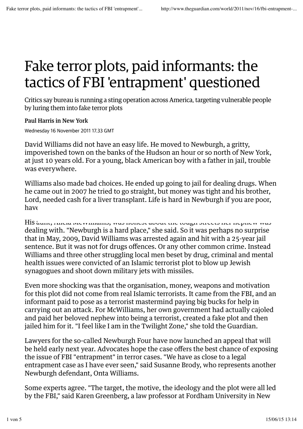## Fake terror plots, paid informants: the tactics of FBI 'entrapment' questioned

Critics say bureau is running a sting operation across America, targeting vulnerable people by luring them into fake terror plots

Paul Harris in New York

Wednesday 16 November 2011 17.33 GMT

David Williams did not have an easy life. He moved to Newburgh, a gritty, impoverished town on the banks of the Hudson an hour or so north of New York, at just 10 years old. For a young, black American boy with a father in jail, trouble was everywhere.

Williams also made bad choices. He ended up going to jail for dealing drugs. When he came out in 2007 he tried to go straight, but money was tight and his brother, Lord, needed cash for a liver transplant. Life is hard in Newburgh if you are poor, hav $\epsilon$ 

His aunt, Aneia Me Winlams, was honest about the tough streets her nephew was dealing with. "Newburgh is a hard place," she said. So it was perhaps no surprise that in May, 2009, David Williams was arrested again and hit with a 25-year jail sentence. But it was not for drugs offences. Or any other common crime. Instead Williams and three other struggling local men beset by drug, criminal and mental health issues were convicted of an Islamic terrorist plot to blow up Jewish synagogues and shoot down military jets with missiles.

Even more shocking was that the organisation, money, weapons and motivation for this plot did not come from real Islamic terrorists. It came from the FBI, and an informant paid to pose as a terrorist mastermind paying big bucks for help in carrying out an attack. For McWilliams, her own government had actually cajoled and paid her beloved nephew into being a terrorist, created a fake plot and then jailed him for it. "I feel like I am in the Twilight Zone," she told the Guardian.

Lawyers for the so-called Newburgh Four have now launched an appeal that will be held early next year. Advocates hope the case offers the best chance of exposing the issue of FBI "entrapment" in terror cases. "We have as close to a legal entrapment case as I have ever seen," said Susanne Brody, who represents another Newburgh defendant, Onta Williams.

Some experts agree. "The target, the motive, the ideology and the plot were all led by the FBI," said Karen Greenberg, a law professor at Fordham University in New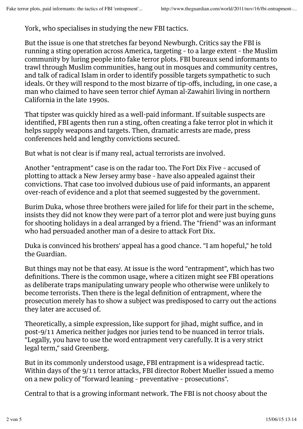York, who specialises in studying the new FBI tactics.

But the issue is one that stretches far beyond Newburgh. Critics say the FBI is running a sting operation across America, targeting – to a large extent – the Muslim community by luring people into fake terror plots. FBI bureaux send informants to trawl through Muslim communities, hang out in mosques and community centres, and talk of radical Islam in order to identify possible targets sympathetic to such ideals. Or they will respond to the most bizarre of tip-offs, including, in one case, a man who claimed to have seen terror chief Ayman al-Zawahiri living in northern California in the late 1990s.

That tipster was quickly hired as a well-paid informant. If suitable suspects are identified, FBI agents then run a sting, often creating a fake terror plot in which it helps supply weapons and targets. Then, dramatic arrests are made, press conferences held and lengthy convictions secured.

But what is not clear is if many real, actual terrorists are involved.

Another "entrapment" case is on the radar too. The Fort Dix Five – accused of plotting to attack a New Jersey army base – have also appealed against their convictions. That case too involved dubious use of paid informants, an apparent over-reach of evidence and a plot that seemed suggested by the government.

Burim Duka, whose three brothers were jailed for life for their part in the scheme, insists they did not know they were part of a terror plot and were just buying guns for shooting holidays in a deal arranged by a friend. The "friend" was an informant who had persuaded another man of a desire to attack Fort Dix.

Duka is convinced his brothers' appeal has a good chance. "I am hopeful," he told the Guardian.

But things may not be that easy. At issue is the word "entrapment", which has two definitions. There is the common usage, where a citizen might see FBI operations as deliberate traps manipulating unwary people who otherwise were unlikely to become terrorists. Then there is the legal definition of entrapment, where the prosecution merely has to show a subject was predisposed to carry out the actions they later are accused of.

Theoretically, a simple expression, like support for jihad, might suffice, and in post-9/11 America neither judges nor juries tend to be nuanced in terror trials. "Legally, you have to use the word entrapment very carefully. It is a very strict legal term," said Greenberg.

But in its commonly understood usage, FBI entrapment is a widespread tactic. Within days of the 9/11 terror attacks, FBI director Robert Mueller issued a memo on a new policy of "forward leaning – preventative – prosecutions".

Central to that is a growing informant network. The FBI is not choosy about the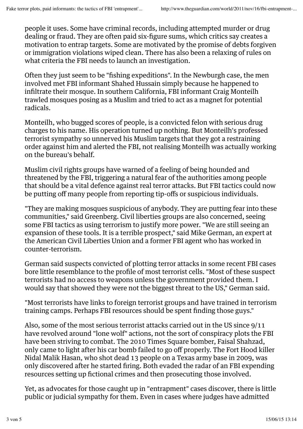people it uses. Some have criminal records, including attempted murder or drug dealing or fraud. They are often paid six-figure sums, which critics say creates a motivation to entrap targets. Some are motivated by the promise of debts forgiven or immigration violations wiped clean. There has also been a relaxing of rules on what criteria the FBI needs to launch an investigation.

Often they just seem to be "fishing expeditions". In the Newburgh case, the men involved met FBI informant Shahed Hussain simply because he happened to infiltrate their mosque. In southern California, FBI informant Craig Monteilh trawled mosques posing as a Muslim and tried to act as a magnet for potential radicals.

Monteilh, who bugged scores of people, is a convicted felon with serious drug charges to his name. His operation turned up nothing. But Monteilh's professed terrorist sympathy so unnerved his Muslim targets that they got a restraining order against him and alerted the FBI, not realising Monteilh was actually working on the bureau's behalf.

Muslim civil rights groups have warned of a feeling of being hounded and threatened by the FBI, triggering a natural fear of the authorities among people that should be a vital defence against real terror attacks. But FBI tactics could now be putting off many people from reporting tip-offs or suspicious individuals.

"They are making mosques suspicious of anybody. They are putting fear into these communities," said Greenberg. Civil liberties groups are also concerned, seeing some FBI tactics as using terrorism to justify more power. "We are still seeing an expansion of these tools. It is a terrible prospect," said Mike German, an expert at the American Civil Liberties Union and a former FBI agent who has worked in counter-terrorism.

German said suspects convicted of plotting terror attacks in some recent FBI cases bore little resemblance to the profile of most terrorist cells. "Most of these suspect terrorists had no access to weapons unless the government provided them. I would say that showed they were not the biggest threat to the US," German said.

"Most terrorists have links to foreign terrorist groups and have trained in terrorism training camps. Perhaps FBI resources should be spent finding those guys."

Also, some of the most serious terrorist attacks carried out in the US since 9/11 have revolved around "lone wolf" actions, not the sort of conspiracy plots the FBI have been striving to combat. The 2010 Times Square bomber, Faisal Shahzad, only came to light after his car bomb failed to go off properly. The Fort Hood killer Nidal Malik Hasan, who shot dead 13 people on a Texas army base in 2009, was only discovered after he started firing. Both evaded the radar of an FBI expending resources setting up fictional crimes and then prosecuting those involved.

Yet, as advocates for those caught up in "entrapment" cases discover, there is little public or judicial sympathy for them. Even in cases where judges have admitted